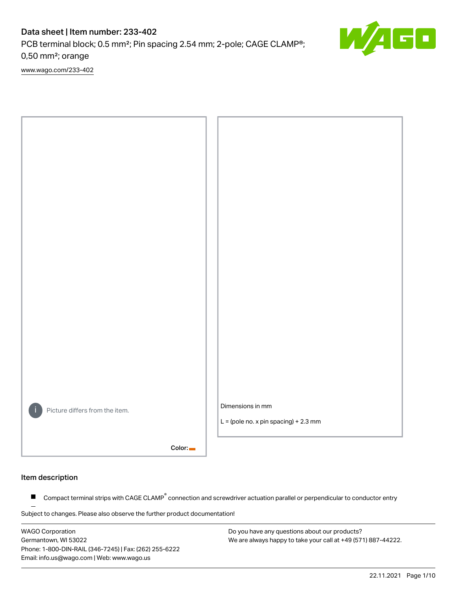PCB terminal block; 0.5 mm²; Pin spacing 2.54 mm; 2-pole; CAGE CLAMP®; 0,50 mm²; orange

[www.wago.com/233-402](http://www.wago.com/233-402)



#### Item description

Compact terminal strips with CAGE CLAMP<sup>®</sup> connection and screwdriver actuation parallel or perpendicular to conductor entry  $\blacksquare$ 

Subject to changes. Please also observe the further product documentation!

WAGO Corporation Germantown, WI 53022 Phone: 1-800-DIN-RAIL (346-7245) | Fax: (262) 255-6222 Email: info.us@wago.com | Web: www.wago.us

Do you have any questions about our products? We are always happy to take your call at +49 (571) 887-44222.  $\overline{\blacksquare}$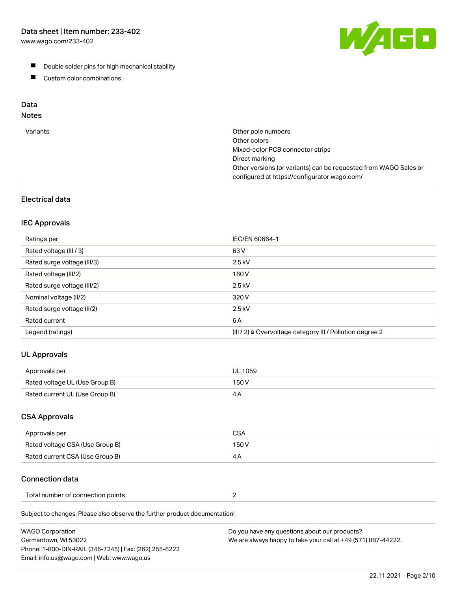[www.wago.com/233-402](http://www.wago.com/233-402)



- **Double solder pins for high mechanical stability**
- **Custom color combinations**

## Data

# Notes

| Variants: | Other pole numbers<br>Other colors<br>Mixed-color PCB connector strips<br>Direct marking<br>Other versions (or variants) can be requested from WAGO Sales or<br>configured at https://configurator.wago.com/ |
|-----------|--------------------------------------------------------------------------------------------------------------------------------------------------------------------------------------------------------------|
|           |                                                                                                                                                                                                              |

## Electrical data

## IEC Approvals

| Ratings per                 | IEC/EN 60664-1                                                        |
|-----------------------------|-----------------------------------------------------------------------|
| Rated voltage (III / 3)     | 63 V                                                                  |
| Rated surge voltage (III/3) | $2.5$ kV                                                              |
| Rated voltage (III/2)       | 160 V                                                                 |
| Rated surge voltage (III/2) | $2.5$ kV                                                              |
| Nominal voltage (II/2)      | 320 V                                                                 |
| Rated surge voltage (II/2)  | $2.5$ kV                                                              |
| Rated current               | 6 A                                                                   |
| Legend (ratings)            | $(III / 2)$ $\triangle$ Overvoltage category III / Pollution degree 2 |

## UL Approvals

| Approvals per                  | UL 1059 |
|--------------------------------|---------|
| Rated voltage UL (Use Group B) | 150 V   |
| Rated current UL (Use Group B) |         |

## CSA Approvals

| Approvals per                   | CSA   |
|---------------------------------|-------|
| Rated voltage CSA (Use Group B) | 150 V |
| Rated current CSA (Use Group B) |       |

## Connection data

| Total number of connection points |  |
|-----------------------------------|--|
|-----------------------------------|--|

Subject to changes. Please also observe the further product documentation!

| <b>WAGO Corporation</b>                                | Do you have any questions about our products?                 |
|--------------------------------------------------------|---------------------------------------------------------------|
| Germantown, WI 53022                                   | We are always happy to take your call at +49 (571) 887-44222. |
| Phone: 1-800-DIN-RAIL (346-7245)   Fax: (262) 255-6222 |                                                               |
| Email: info.us@wago.com   Web: www.wago.us             |                                                               |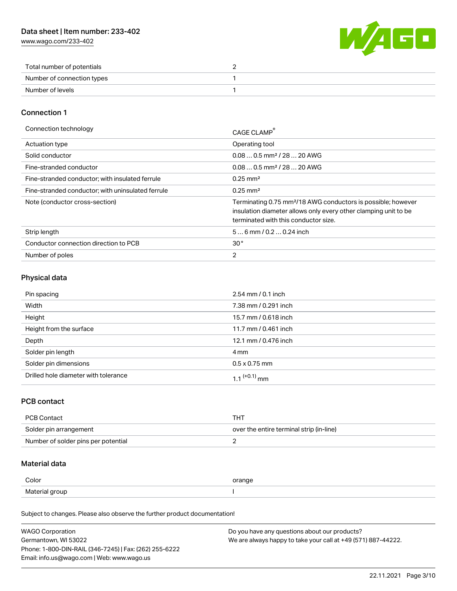[www.wago.com/233-402](http://www.wago.com/233-402)



| Total number of potentials |  |
|----------------------------|--|
| Number of connection types |  |
| Number of levels           |  |

## Connection 1

| Connection technology                             | CAGE CLAMP <sup>®</sup>                                                                                                                                                             |
|---------------------------------------------------|-------------------------------------------------------------------------------------------------------------------------------------------------------------------------------------|
| Actuation type                                    | Operating tool                                                                                                                                                                      |
| Solid conductor                                   | $0.080.5$ mm <sup>2</sup> / 28  20 AWG                                                                                                                                              |
| Fine-stranded conductor                           | $0.080.5$ mm <sup>2</sup> / 28  20 AWG                                                                                                                                              |
| Fine-stranded conductor; with insulated ferrule   | $0.25 \text{ mm}^2$                                                                                                                                                                 |
| Fine-stranded conductor: with uninsulated ferrule | $0.25 \text{ mm}^2$                                                                                                                                                                 |
| Note (conductor cross-section)                    | Terminating 0.75 mm <sup>2</sup> /18 AWG conductors is possible; however<br>insulation diameter allows only every other clamping unit to be<br>terminated with this conductor size. |
| Strip length                                      | $56$ mm $/ 0.20.24$ inch                                                                                                                                                            |
| Conductor connection direction to PCB             | 30 <sup>°</sup>                                                                                                                                                                     |
| Number of poles                                   | $\overline{2}$                                                                                                                                                                      |

## Physical data

| Pin spacing                          | 2.54 mm / 0.1 inch   |
|--------------------------------------|----------------------|
| Width                                | 7.38 mm / 0.291 inch |
| Height                               | 15.7 mm / 0.618 inch |
| Height from the surface              | 11.7 mm / 0.461 inch |
| Depth                                | 12.1 mm / 0.476 inch |
| Solder pin length                    | 4 mm                 |
| Solder pin dimensions                | $0.5 \times 0.75$ mm |
| Drilled hole diameter with tolerance | 1 1 $(+0.1)$ mm      |

## PCB contact

| PCB Contact                         | THT                                      |
|-------------------------------------|------------------------------------------|
| Solder pin arrangement              | over the entire terminal strip (in-line) |
| Number of solder pins per potential |                                          |

## Material data

| Color          | orange |
|----------------|--------|
| Material group |        |

Subject to changes. Please also observe the further product documentation!

| <b>WAGO Corporation</b>                                | Do you have any questions about our products?                 |
|--------------------------------------------------------|---------------------------------------------------------------|
| Germantown, WI 53022                                   | We are always happy to take your call at +49 (571) 887-44222. |
| Phone: 1-800-DIN-RAIL (346-7245)   Fax: (262) 255-6222 |                                                               |
| Email: info.us@wago.com   Web: www.wago.us             |                                                               |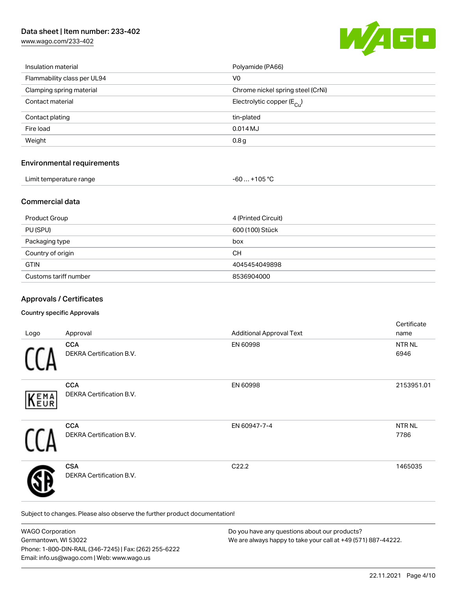[www.wago.com/233-402](http://www.wago.com/233-402)



| Insulation material         | Polyamide (PA66)                      |
|-----------------------------|---------------------------------------|
| Flammability class per UL94 | V <sub>0</sub>                        |
| Clamping spring material    | Chrome nickel spring steel (CrNi)     |
| Contact material            | Electrolytic copper $(E_{\text{Cl}})$ |
| Contact plating             | tin-plated                            |
| Fire load                   | $0.014$ MJ                            |
| Weight                      | 0.8 <sub>g</sub>                      |
|                             |                                       |

## Environmental requirements

| Limit temperature range | $-60+105 °C$ |
|-------------------------|--------------|
|                         |              |

## Commercial data

| <b>Product Group</b>  | 4 (Printed Circuit) |
|-----------------------|---------------------|
| PU (SPU)              | 600 (100) Stück     |
| Packaging type        | box                 |
| Country of origin     | CН                  |
| <b>GTIN</b>           | 4045454049898       |
| Customs tariff number | 8536904000          |

## Approvals / Certificates

#### Country specific Approvals

| Logo | Approval                                      | <b>Additional Approval Text</b> | Certificate<br>name   |
|------|-----------------------------------------------|---------------------------------|-----------------------|
|      | <b>CCA</b><br><b>DEKRA Certification B.V.</b> | EN 60998                        | NTR NL<br>6946        |
| KEMA | <b>CCA</b><br>DEKRA Certification B.V.        | EN 60998                        | 2153951.01            |
|      | <b>CCA</b><br>DEKRA Certification B.V.        | EN 60947-7-4                    | <b>NTR NL</b><br>7786 |
|      | <b>CSA</b><br><b>DEKRA Certification B.V.</b> | C22.2                           | 1465035               |

Subject to changes. Please also observe the further product documentation!

| <b>WAGO Corporation</b>                                | Do you have any questions about our products?                 |
|--------------------------------------------------------|---------------------------------------------------------------|
| Germantown, WI 53022                                   | We are always happy to take your call at +49 (571) 887-44222. |
| Phone: 1-800-DIN-RAIL (346-7245)   Fax: (262) 255-6222 |                                                               |
| Email: info.us@wago.com   Web: www.wago.us             |                                                               |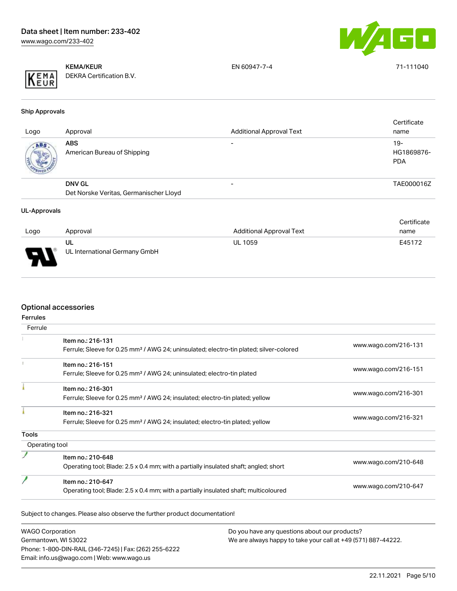

KEMA/KEUR DEKRA Certification B.V. EN 60947-7-4 71-111040

Ship Approvals

| Logo | Approval                                                | <b>Additional Approval Text</b> | Certificate<br>name                |
|------|---------------------------------------------------------|---------------------------------|------------------------------------|
| ABS. | <b>ABS</b><br>American Bureau of Shipping               | $\overline{\phantom{0}}$        | $19 -$<br>HG1869876-<br><b>PDA</b> |
|      | <b>DNV GL</b><br>Det Norske Veritas, Germanischer Lloyd |                                 | TAE000016Z                         |
|      |                                                         |                                 |                                    |

#### UL-Approvals

|      |                               |                          | Certificate |
|------|-------------------------------|--------------------------|-------------|
| Logo | Approval                      | Additional Approval Text | name        |
|      | UL                            | <b>UL 1059</b>           | E45172      |
| o    | UL International Germany GmbH |                          |             |

## Optional accessories

| Ferrule        |                                                                                                    |                      |
|----------------|----------------------------------------------------------------------------------------------------|----------------------|
|                | Item no.: 216-131                                                                                  |                      |
|                | Ferrule; Sleeve for 0.25 mm <sup>2</sup> / AWG 24; uninsulated; electro-tin plated; silver-colored | www.wago.com/216-131 |
|                | Item no.: 216-151                                                                                  |                      |
|                | Ferrule; Sleeve for 0.25 mm <sup>2</sup> / AWG 24; uninsulated; electro-tin plated                 | www.wago.com/216-151 |
|                | Item no.: 216-301                                                                                  |                      |
|                | Ferrule; Sleeve for 0.25 mm <sup>2</sup> / AWG 24; insulated; electro-tin plated; yellow           | www.wago.com/216-301 |
|                | Item no.: 216-321                                                                                  |                      |
|                | Ferrule; Sleeve for 0.25 mm <sup>2</sup> / AWG 24; insulated; electro-tin plated; yellow           | www.wago.com/216-321 |
| <b>Tools</b>   |                                                                                                    |                      |
| Operating tool |                                                                                                    |                      |
|                | Item no.: 210-648                                                                                  |                      |
|                | Operating tool; Blade: 2.5 x 0.4 mm; with a partially insulated shaft; angled; short               | www.wago.com/210-648 |
|                | Item no.: 210-647                                                                                  |                      |
|                | Operating tool; Blade: 2.5 x 0.4 mm; with a partially insulated shaft; multicoloured               | www.wago.com/210-647 |

WAGO Corporation Germantown, WI 53022 Phone: 1-800-DIN-RAIL (346-7245) | Fax: (262) 255-6222 Email: info.us@wago.com | Web: www.wago.us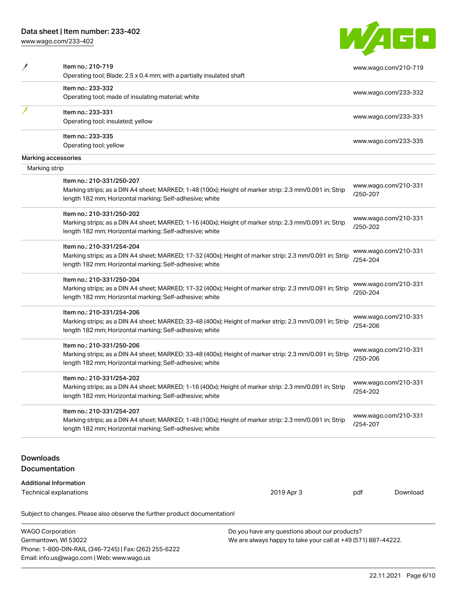Phone: 1-800-DIN-RAIL (346-7245) | Fax: (262) 255-6222

Email: info.us@wago.com | Web: www.wago.us

[www.wago.com/233-402](http://www.wago.com/233-402)

| <b>College</b> |  |
|----------------|--|
|                |  |

|                  | Item no.: 210-719<br>Operating tool; Blade: 2.5 x 0.4 mm; with a partially insulated shaft              |                                                               |          | www.wago.com/210-719 |
|------------------|---------------------------------------------------------------------------------------------------------|---------------------------------------------------------------|----------|----------------------|
|                  | Item no.: 233-332                                                                                       |                                                               |          |                      |
|                  | Operating tool; made of insulating material; white                                                      |                                                               |          | www.wago.com/233-332 |
|                  | Item no.: 233-331                                                                                       |                                                               |          |                      |
|                  | Operating tool; insulated; yellow                                                                       |                                                               |          | www.wago.com/233-331 |
|                  | Item no.: 233-335                                                                                       |                                                               |          | www.wago.com/233-335 |
|                  | Operating tool; yellow                                                                                  |                                                               |          |                      |
|                  | Marking accessories                                                                                     |                                                               |          |                      |
| Marking strip    |                                                                                                         |                                                               |          |                      |
|                  | Item no.: 210-331/250-207                                                                               |                                                               |          |                      |
|                  | Marking strips; as a DIN A4 sheet; MARKED; 1-48 (100x); Height of marker strip: 2.3 mm/0.091 in; Strip  |                                                               |          | www.wago.com/210-331 |
|                  | length 182 mm; Horizontal marking; Self-adhesive; white                                                 |                                                               | /250-207 |                      |
|                  | Item no.: 210-331/250-202                                                                               |                                                               |          |                      |
|                  | Marking strips; as a DIN A4 sheet; MARKED; 1-16 (400x); Height of marker strip: 2.3 mm/0.091 in; Strip  |                                                               | /250-202 | www.wago.com/210-331 |
|                  | length 182 mm; Horizontal marking; Self-adhesive; white                                                 |                                                               |          |                      |
|                  | Item no.: 210-331/254-204                                                                               |                                                               |          |                      |
|                  | Marking strips; as a DIN A4 sheet; MARKED; 17-32 (400x); Height of marker strip: 2.3 mm/0.091 in; Strip |                                                               |          | www.wago.com/210-331 |
|                  | length 182 mm; Horizontal marking; Self-adhesive; white                                                 |                                                               | /254-204 |                      |
|                  | Item no.: 210-331/250-204                                                                               |                                                               |          |                      |
|                  | Marking strips; as a DIN A4 sheet; MARKED; 17-32 (400x); Height of marker strip: 2.3 mm/0.091 in; Strip |                                                               |          | www.wago.com/210-331 |
|                  | length 182 mm; Horizontal marking; Self-adhesive; white                                                 |                                                               | /250-204 |                      |
|                  | Item no.: 210-331/254-206                                                                               |                                                               |          |                      |
|                  | Marking strips; as a DIN A4 sheet; MARKED; 33-48 (400x); Height of marker strip: 2.3 mm/0.091 in; Strip |                                                               |          | www.wago.com/210-331 |
|                  | length 182 mm; Horizontal marking; Self-adhesive; white                                                 |                                                               | /254-206 |                      |
|                  | Item no.: 210-331/250-206                                                                               |                                                               |          |                      |
|                  | Marking strips; as a DIN A4 sheet; MARKED; 33-48 (400x); Height of marker strip: 2.3 mm/0.091 in; Strip |                                                               |          | www.wago.com/210-331 |
|                  | length 182 mm; Horizontal marking; Self-adhesive; white                                                 |                                                               | /250-206 |                      |
|                  | Item no.: 210-331/254-202                                                                               |                                                               |          |                      |
|                  | Marking strips; as a DIN A4 sheet; MARKED; 1-16 (400x); Height of marker strip: 2.3 mm/0.091 in; Strip  |                                                               |          | www.wago.com/210-331 |
|                  | length 182 mm; Horizontal marking; Self-adhesive; white                                                 |                                                               | /254-202 |                      |
|                  | Item no.: 210-331/254-207                                                                               |                                                               |          |                      |
|                  | Marking strips; as a DIN A4 sheet; MARKED; 1-48 (100x); Height of marker strip: 2.3 mm/0.091 in; Strip  |                                                               |          | www.wago.com/210-331 |
|                  | length 182 mm; Horizontal marking; Self-adhesive; white                                                 |                                                               | /254-207 |                      |
|                  |                                                                                                         |                                                               |          |                      |
| <b>Downloads</b> |                                                                                                         |                                                               |          |                      |
|                  | Documentation                                                                                           |                                                               |          |                      |
|                  | <b>Additional Information</b>                                                                           |                                                               |          |                      |
|                  | <b>Technical explanations</b>                                                                           | 2019 Apr 3                                                    | pdf      | Download             |
|                  |                                                                                                         |                                                               |          |                      |
|                  | Subject to changes. Please also observe the further product documentation!                              |                                                               |          |                      |
|                  | <b>WAGO Corporation</b>                                                                                 | Do you have any questions about our products?                 |          |                      |
|                  | Germantown, WI 53022                                                                                    | We are always happy to take your call at +49 (571) 887-44222. |          |                      |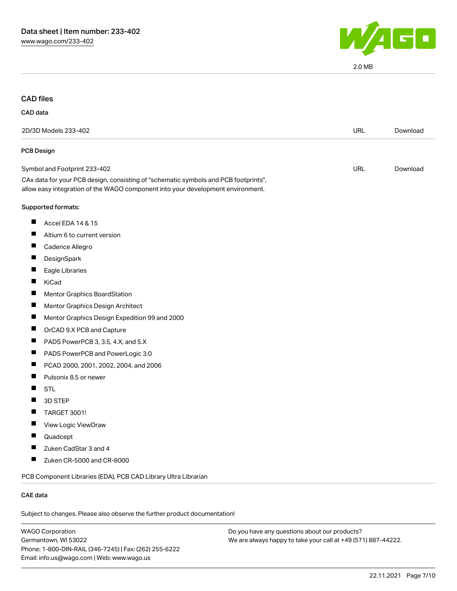

2.0 MB

## CAD files

#### CAD data

| 2D/3D Models 233-402                                                                                                                                                   | <b>URL</b> | Download |
|------------------------------------------------------------------------------------------------------------------------------------------------------------------------|------------|----------|
| <b>PCB Design</b>                                                                                                                                                      |            |          |
| Symbol and Footprint 233-402                                                                                                                                           | URL        | Download |
| CAx data for your PCB design, consisting of "schematic symbols and PCB footprints",<br>allow easy integration of the WAGO component into your development environment. |            |          |
| Supported formats:                                                                                                                                                     |            |          |
| ш<br>Accel EDA 14 & 15                                                                                                                                                 |            |          |
| ш<br>Altium 6 to current version                                                                                                                                       |            |          |
| Ш<br>Cadence Allegro                                                                                                                                                   |            |          |
| ш<br>DesignSpark                                                                                                                                                       |            |          |
| ш<br>Eagle Libraries                                                                                                                                                   |            |          |
| KiCad                                                                                                                                                                  |            |          |
| Ш<br>Mentor Graphics BoardStation                                                                                                                                      |            |          |
| ш<br>Mentor Graphics Design Architect                                                                                                                                  |            |          |
| Ш<br>Mentor Graphics Design Expedition 99 and 2000                                                                                                                     |            |          |
| ш<br>OrCAD 9.X PCB and Capture                                                                                                                                         |            |          |
| PADS PowerPCB 3, 3.5, 4.X, and 5.X<br>ш                                                                                                                                |            |          |
| ш<br>PADS PowerPCB and PowerLogic 3.0                                                                                                                                  |            |          |
| PCAD 2000, 2001, 2002, 2004, and 2006<br>Ш                                                                                                                             |            |          |
| ш<br>Pulsonix 8.5 or newer                                                                                                                                             |            |          |
| Ш<br><b>STL</b>                                                                                                                                                        |            |          |
| Ш<br>3D STEP                                                                                                                                                           |            |          |
| ш<br><b>TARGET 3001!</b>                                                                                                                                               |            |          |
| View Logic ViewDraw<br>ш                                                                                                                                               |            |          |
| Quadcept                                                                                                                                                               |            |          |
| ш<br>Zuken CadStar 3 and 4                                                                                                                                             |            |          |
| ш<br>Zuken CR-5000 and CR-8000                                                                                                                                         |            |          |
| PCB Component Libraries (EDA), PCB CAD Library Ultra Librarian                                                                                                         |            |          |
| <b>CAE</b> data                                                                                                                                                        |            |          |

Subject to changes. Please also observe the further product documentation!

WAGO Corporation Germantown, WI 53022 Phone: 1-800-DIN-RAIL (346-7245) | Fax: (262) 255-6222 Email: info.us@wago.com | Web: www.wago.us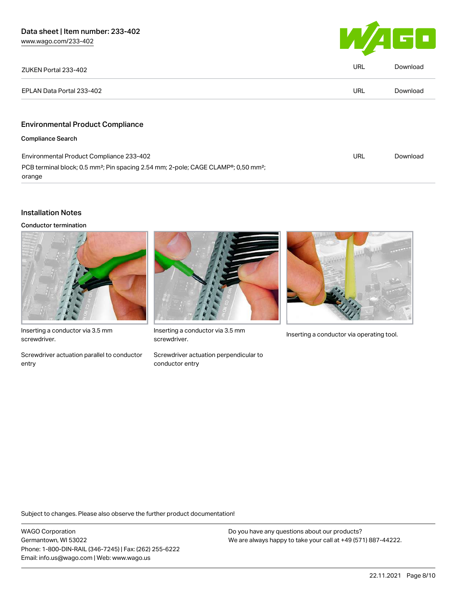[www.wago.com/233-402](http://www.wago.com/233-402)



| ZUKEN Portal 233-402                                                                                                              | <b>URL</b> | Download |
|-----------------------------------------------------------------------------------------------------------------------------------|------------|----------|
| EPLAN Data Portal 233-402                                                                                                         | <b>URL</b> | Download |
|                                                                                                                                   |            |          |
| <b>Environmental Product Compliance</b>                                                                                           |            |          |
| <b>Compliance Search</b>                                                                                                          |            |          |
| Environmental Product Compliance 233-402                                                                                          | URL        | Download |
| PCB terminal block; 0.5 mm <sup>2</sup> ; Pin spacing 2.54 mm; 2-pole; CAGE CLAMP <sup>®</sup> ; 0,50 mm <sup>2</sup> ;<br>orange |            |          |

## Installation Notes

Conductor termination



Inserting a conductor via 3.5 mm screwdriver.

Screwdriver actuation parallel to conductor entry



Inserting a conductor via 3.5 mm<br>Inserting a conductor via operating tool. screwdriver.

Screwdriver actuation perpendicular to conductor entry



Subject to changes. Please also observe the further product documentation!

WAGO Corporation Germantown, WI 53022 Phone: 1-800-DIN-RAIL (346-7245) | Fax: (262) 255-6222 Email: info.us@wago.com | Web: www.wago.us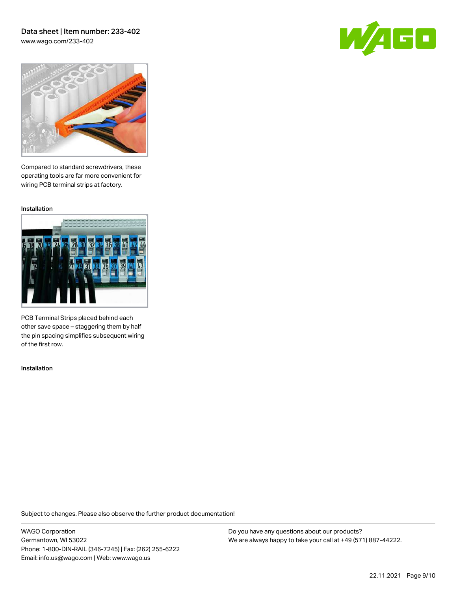[www.wago.com/233-402](http://www.wago.com/233-402)





Compared to standard screwdrivers, these operating tools are far more convenient for wiring PCB terminal strips at factory.

Installation



PCB Terminal Strips placed behind each other save space – staggering them by half the pin spacing simplifies subsequent wiring of the first row.

Installation

Subject to changes. Please also observe the further product documentation!

WAGO Corporation Germantown, WI 53022 Phone: 1-800-DIN-RAIL (346-7245) | Fax: (262) 255-6222 Email: info.us@wago.com | Web: www.wago.us